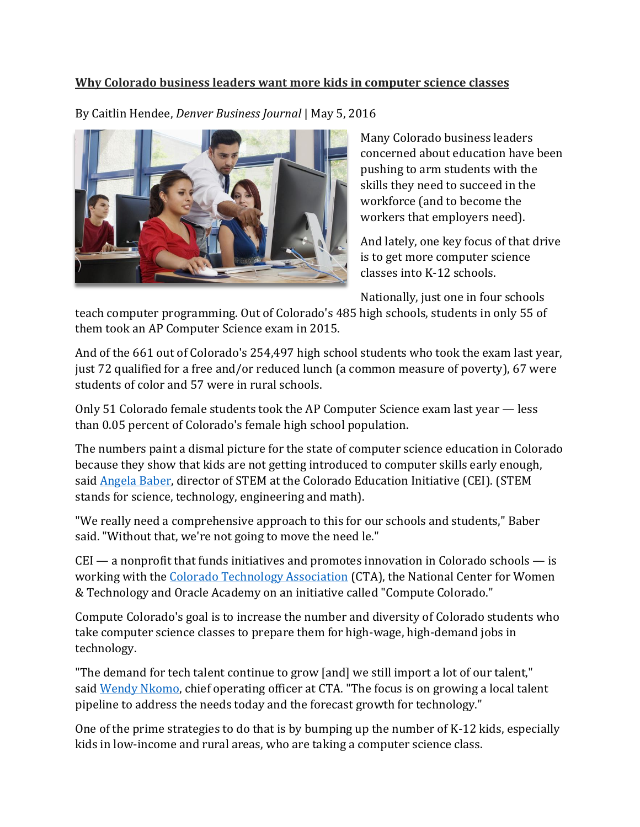## **Why Colorado business leaders want more kids in computer science classes**

By Caitlin Hendee, *Denver Business Journal* | May 5, 2016



Many Colorado business leaders concerned about education have been pushing to arm students with the skills they need to succeed in the workforce (and to become the workers that employers need).

And lately, one key focus of that drive is to get more computer science classes into K-12 schools.

Nationally, just one in four schools

teach computer programming. Out of Colorado's 485 high schools, students in only 55 of them took an AP Computer Science exam in 2015.

And of the 661 out of Colorado's 254,497 high school students who took the exam last year, just 72 qualified for a free and/or reduced lunch (a common measure of poverty), 67 were students of color and 57 were in rural schools.

Only 51 Colorado female students took the AP Computer Science exam last year — less than 0.05 percent of Colorado's female high school population.

The numbers paint a dismal picture for the state of computer science education in Colorado because they show that kids are not getting introduced to computer skills early enough, said [Angela Baber,](http://www.bizjournals.com/denver/search/results?q=Angela%20Baber) director of STEM at the Colorado Education Initiative (CEI). (STEM stands for science, technology, engineering and math).

"We really need a comprehensive approach to this for our schools and students," Baber said. "Without that, we're not going to move the need le."

 $CEI$  — a nonprofit that funds initiatives and promotes innovation in Colorado schools — is working with the [Colorado Technology Association](http://www.bizjournals.com/profiles/company/us/co/denver/colorado_technology_association/3369644) (CTA), the National Center for Women & Technology and Oracle Academy on an initiative called "Compute Colorado."

Compute Colorado's goal is to increase the number and diversity of Colorado students who take computer science classes to prepare them for high-wage, high-demand jobs in technology.

"The demand for tech talent continue to grow [and] we still import a lot of our talent," said [Wendy Nkomo,](http://www.bizjournals.com/denver/search/results?q=Wendy%20Nkomo) chief operating officer at CTA. "The focus is on growing a local talent pipeline to address the needs today and the forecast growth for technology."

One of the prime strategies to do that is by bumping up the number of K-12 kids, especially kids in low-income and rural areas, who are taking a computer science class.